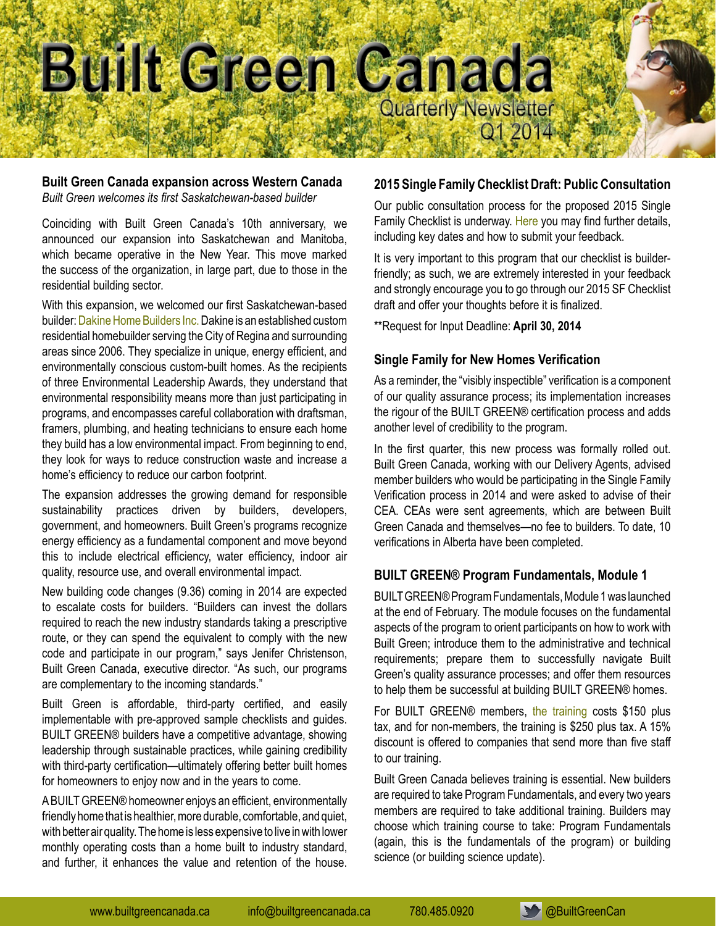

### **Built Green Canada expansion across Western Canada**

*Built Green welcomes its first Saskatchewan-based builder* 

Coinciding with Built Green Canada's 10th anniversary, we announced our expansion into Saskatchewan and Manitoba, which became operative in the New Year. This move marked the success of the organization, in large part, due to those in the residential building sector.

With this expansion, we welcomed our first Saskatchewan-based builder: [Dakine Home Builders Inc.](http://www.dakinehomebuilders.ca) Dakine is an established custom residential homebuilder serving the City of Regina and surrounding areas since 2006. They specialize in unique, energy efficient, and environmentally conscious custom-built homes. As the recipients of three Environmental Leadership Awards, they understand that environmental responsibility means more than just participating in programs, and encompasses careful collaboration with draftsman, framers, plumbing, and heating technicians to ensure each home they build has a low environmental impact. From beginning to end, they look for ways to reduce construction waste and increase a home's efficiency to reduce our carbon footprint.

The expansion addresses the growing demand for responsible sustainability practices driven by builders, developers, government, and homeowners. Built Green's programs recognize energy efficiency as a fundamental component and move beyond this to include electrical efficiency, water efficiency, indoor air quality, resource use, and overall environmental impact.

New building code changes (9.36) coming in 2014 are expected to escalate costs for builders. "Builders can invest the dollars required to reach the new industry standards taking a prescriptive route, or they can spend the equivalent to comply with the new code and participate in our program," says Jenifer Christenson, Built Green Canada, executive director. "As such, our programs are complementary to the incoming standards."

Built Green is affordable, third-party certified, and easily implementable with pre-approved sample checklists and guides. BUILT GREEN® builders have a competitive advantage, showing leadership through sustainable practices, while gaining credibility with third-party certification—ultimately offering better built homes for homeowners to enjoy now and in the years to come.

A BUILT GREEN® homeowner enjoys an efficient, environmentally friendly home that is healthier, more durable, comfortable, and quiet, with better air quality. The home is less expensive to live in with lower monthly operating costs than a home built to industry standard, and further, it enhances the value and retention of the house.

# **2015 Single Family Checklist Draft: Public Consultation**

Our public consultation process for the proposed 2015 Single Family Checklist is underway. [Here](http://www.builtgreencanada.ca/2015-sf-checklist-consultation) you may find further details, including key dates and how to submit your feedback.

It is very important to this program that our checklist is builderfriendly; as such, we are extremely interested in your feedback and strongly encourage you to go through our 2015 SF Checklist draft and offer your thoughts before it is finalized.

\*\*Request for Input Deadline: **April 30, 2014**

# **Single Family for New Homes Verification**

As a reminder, the "visibly inspectible" verification is a component of our quality assurance process; its implementation increases the rigour of the BUILT GREEN® certification process and adds another level of credibility to the program.

In the first quarter, this new process was formally rolled out. Built Green Canada, working with our Delivery Agents, advised member builders who would be participating in the Single Family Verification process in 2014 and were asked to advise of their CEA. CEAs were sent agreements, which are between Built Green Canada and themselves—no fee to builders. To date, 10 verifications in Alberta have been completed.

# **BUILT GREEN® Program Fundamentals, Module 1**

BUILT GREEN® Program Fundamentals, Module 1 was launched at the end of February. The module focuses on the fundamental aspects of the program to orient participants on how to work with Built Green; introduce them to the administrative and technical requirements; prepare them to successfully navigate Built Green's quality assurance processes; and offer them resources to help them be successful at building BUILT GREEN® homes.

For BUILT GREEN® members, [the training](http://www.builtgreencanada.ca/built-green-training) costs \$150 plus tax, and for non-members, the training is \$250 plus tax. A 15% discount is offered to companies that send more than five staff to our training.

Built Green Canada believes training is essential. New builders are required to take Program Fundamentals, and every two years members are required to take additional training. Builders may choose which training course to take: Program Fundamentals (again, this is the fundamentals of the program) or building science (or building science update).